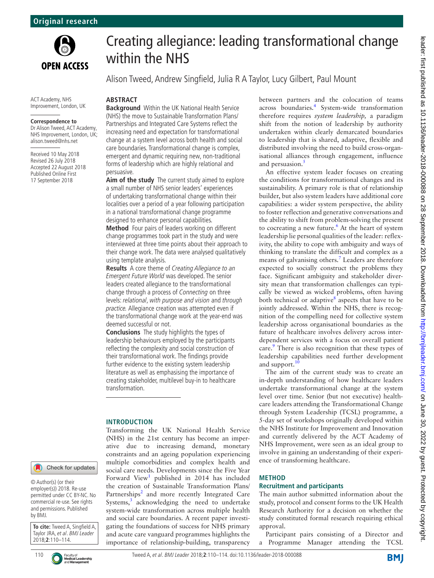

ACT Academy, NHS Improvement, London, UK

#### **Correspondence to**

Dr Alison Tweed, ACT Academy, NHS Improvement, London, UK; alison.tweed@nhs.net

Received 10 May 2018 Revised 26 July 2018 Accepted 22 August 2018 Published Online First 17 September 2018

# Creating allegiance: leading transformational change within the NHS

Alison Tweed, Andrew Singfield, Julia R A Taylor, Lucy Gilbert, Paul Mount

#### **Abstract**

**Background** Within the UK National Health Service (NHS) the move to Sustainable Transformation Plans/ Partnerships and Integrated Care Systems reflect the increasing need and expectation for transformational change at a system level across both health and social care boundaries. Transformational change is complex, emergent and dynamic requiring new, non-traditional forms of leadership which are highly relational and persuasive.

**Aim of the study** The current study aimed to explore a small number of NHS senior leaders' experiences of undertaking transformational change within their localities over a period of a year following participation in a national transformational change programme designed to enhance personal capabilities.

**Method** Four pairs of leaders working on different change programmes took part in the study and were interviewed at three time points about their approach to their change work. The data were analysed qualitatively using template analysis.

**Results** A core theme of Creating Allegiance to an Emergent Future World was developed. The senior leaders created allegiance to the transformational change through a process of Connecting on three levels: relational, with purpose and vision and through practice. Allegiance creation was attempted even if the transformational change work at the year-end was deemed successful or not.

**Conclusions** The study highlights the types of leadership behaviours employed by the participants reflecting the complexity and social construction of their transformational work. The findings provide further evidence to the existing system leadership literature as well as emphasising the importance of creating stakeholder, multilevel buy-in to healthcare transformation.

## **Introduction**

Transforming the UK National Health Service (NHS) in the 21st century has become an imperative due to increasing demand, monetary constraints and an ageing population experiencing multiple comorbidities and complex health and social care needs. Developments since the Five Year Forward View<sup>[1](#page-4-0)</sup> published in 2014 has included the creation of Sustainable Transformation Plans/ Partnerships<sup>[2](#page-4-1)</sup> and more recently Integrated Care Systems, $3$  acknowledging the need to undertake system-wide transformation across multiple health and social care boundaries. A recent paper investigating the foundations of success for NHS primary and acute care vanguard programmes highlights the importance of relationship-building, transparency

between partners and the colocation of teams across boundaries.<sup>[4](#page-4-3)</sup> System-wide transformation therefore requires *system leadership,* a paradigm shift from the notion of leadership by authority undertaken within clearly demarcated boundaries to leadership that is shared, adaptive, flexible and distributed involving the need to build cross-organisational alliances through engagement, influence and persuasion.<sup>[5](#page-4-4)</sup>

An effective system leader focuses on creating the conditions for transformational changes and its sustainability. A primary role is that of relationship builder, but also system leaders have additional core capabilities: a wider system perspective, the ability to foster reflection and generative conversations and the ability to shift from problem-solving the present to cocreating a new future.<sup>6</sup> At the heart of system leadership lie personal qualities of the leader: reflexivity, the ability to cope with ambiguity and ways of thinking to translate the difficult and complex as a means of galvanising others.<sup>[7](#page-4-6)</sup> Leaders are therefore expected to socially construct the problems they face. Significant ambiguity and stakeholder diversity mean that transformation challenges can typically be viewed as wicked problems, often having both technical or adaptive<sup>[8](#page-4-7)</sup> aspects that have to be jointly addressed. Within the NHS, there is recognition of the compelling need for collective system leadership across organisational boundaries as the future of healthcare involves delivery across interdependent services with a focus on overall patient care.<sup>9</sup> There is also recognition that these types of leadership capabilities need further development and support. $10$ 

The aim of the current study was to create an in-depth understanding of how healthcare leaders undertake transformational change at the system level over time. Senior (but not executive) healthcare leaders attending the Transformational Change through System Leadership (TCSL) programme, a 5-day set of workshops originally developed within the NHS Institute for Improvement and Innovation and currently delivered by the ACT Academy of NHS Improvement, were seen as an ideal group to involve in gaining an understanding of their experience of transforming healthcare.

## **Method**

#### **Recruitment and participants**

The main author submitted information about the study, protocol and consent forms to the UK Health Research Authority for a decision on whether the study constituted formal research requiring ethical approval.

Participant pairs consisting of a Director and a Programme Manager attending the TCSL

Check for updates

© Author(s) (or their employer(s)) 2018. Re-use permitted under CC BY-NC. No commercial re-use. See rights and permissions. Published by BMJ.

**To cite:** Tweed A, Singfield A, Taylor JRA, et al. BMJ Leader 2018;**2**:110–114.

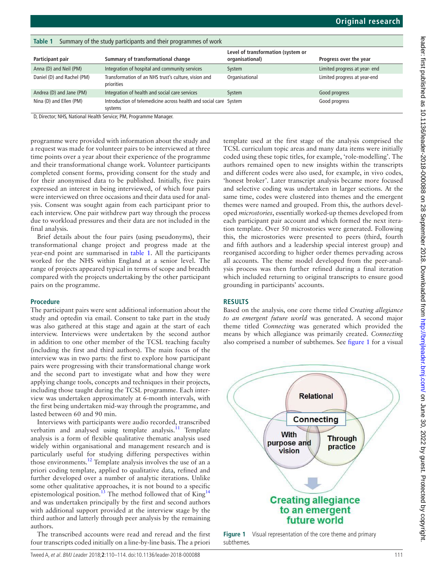| TUNIC I<br><b>Sammary or the study participants and their programmes or work</b> |                                                                              |                                                       |                               |
|----------------------------------------------------------------------------------|------------------------------------------------------------------------------|-------------------------------------------------------|-------------------------------|
| Participant pair                                                                 | Summary of transformational change                                           | Level of transformation (system or<br>organisational) | Progress over the year        |
| Anna (D) and Neil (PM)                                                           | Integration of hospital and community services                               | System                                                | Limited progress at year- end |
| Daniel (D) and Rachel (PM)                                                       | Transformation of an NHS trust's culture, vision and<br>priorities           | Organisational                                        | Limited progress at year-end  |
| Andrea (D) and Jane (PM)                                                         | Integration of health and social care services                               | System                                                | Good progress                 |
| Nina (D) and Ellen (PM)                                                          | Introduction of telemedicine across health and social care System<br>systems |                                                       | Good progress                 |

<span id="page-1-0"></span>**Table 1** Summary of the study participants and their programmes of work

D, Director; NHS, National Health Service; PM, Programme Manager.

programme were provided with information about the study and a request was made for volunteer pairs to be interviewed at three time points over a year about their experience of the programme and their transformational change work. Volunteer participants completed consent forms, providing consent for the study and for their anonymised data to be published. Initially, five pairs expressed an interest in being interviewed, of which four pairs were interviewed on three occasions and their data used for analysis. Consent was sought again from each participant prior to each interview. One pair withdrew part way through the process due to workload pressures and their data are not included in the final analysis.

Brief details about the four pairs (using pseudonyms), their transformational change project and progress made at the year-end point are summarised in [table](#page-1-0) 1. All the participants worked for the NHS within England at a senior level. The range of projects appeared typical in terms of scope and breadth compared with the projects undertaking by the other participant pairs on the programme.

## **Procedure**

The participant pairs were sent additional information about the study and optedin via email. Consent to take part in the study was also gathered at this stage and again at the start of each interview. Interviews were undertaken by the second author in addition to one other member of the TCSL teaching faculty (including the first and third authors). The main focus of the interview was in two parts: the first to explore how participant pairs were progressing with their transformational change work and the second part to investigate what and how they were applying change tools, concepts and techniques in their projects, including those taught during the TCSL programme. Each interview was undertaken approximately at 6-month intervals, with the first being undertaken mid-way through the programme, and lasted between 60 and 90 min.

Interviews with participants were audio recorded, transcribed verbatim and analysed using template analysis.<sup>11</sup> Template analysis is a form of flexible qualitative thematic analysis used widely within organisational and management research and is particularly useful for studying differing perspectives within those environments.[12](#page-4-11) Template analysis involves the use of an a priori coding template, applied to qualitative data, refined and further developed over a number of analytic iterations. Unlike some other qualitative approaches, it is not bound to a specific epistemological position.<sup>13</sup> The method followed that of King<sup>[14](#page-4-13)</sup> and was undertaken principally by the first and second authors with additional support provided at the interview stage by the third author and latterly through peer analysis by the remaining authors.

The transcribed accounts were read and reread and the first four transcripts coded initially on a line-by-line basis. The a priori template used at the first stage of the analysis comprised the TCSL curriculum topic areas and many data items were initially coded using these topic titles, for example, 'role-modelling'. The authors remained open to new insights within the transcripts and different codes were also used, for example, in vivo codes, 'honest broker'. Later transcript analysis became more focused and selective coding was undertaken in larger sections. At the same time, codes were clustered into themes and the emergent themes were named and grouped. From this, the authors developed *microstories*, essentially worked-up themes developed from each participant pair account and which formed the next iteration template. Over 50 microstories were generated. Following this, the microstories were presented to peers (third, fourth and fifth authors and a leadership special interest group) and reorganised according to higher order themes pervading across all accounts. The theme model developed from the peer-analysis process was then further refined during a final iteration which included returning to original transcripts to ensure good grounding in participants' accounts.

# **Results**

Based on the analysis, one core theme titled *Creating allegiance to an emergent future world* was generated. A second major theme titled *Connecting* was generated which provided the means by which allegiance was primarily created. *Connecting* also comprised a number of subthemes. See [figure](#page-1-1) 1 for a visual



<span id="page-1-1"></span>**Figure 1** Visual representation of the core theme and primary subthemes.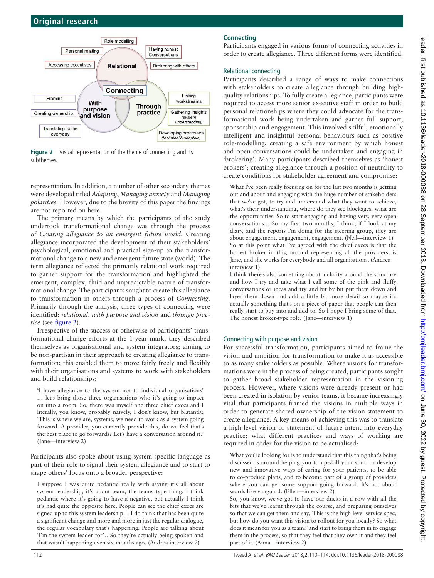

<span id="page-2-0"></span>**Figure 2** Visual representation of the theme of connecting and its subthemes.

representation. In addition, a number of other secondary themes were developed titled *Adapting*, *Managing anxiety* and *Managing polarities*. However, due to the brevity of this paper the findings are not reported on here.

The primary means by which the participants of the study undertook transformational change was through the process of *Creating allegiance to an emergent future world*. Creating allegiance incorporated the development of their stakeholders' psychological, emotional and practical sign-up to the transformational change to a new and emergent future state (world). The term allegiance reflected the primarily relational work required to garner support for the transformation and highlighted the emergent, complex, fluid and unpredictable nature of transformational change. The participants sought to create this allegiance to transformation in others through a process of *Connecting*. Primarily through the analysis, three types of connecting were identified: *relational*, *with purpose and vision* and *through practice* (see [figure](#page-2-0) 2).

Irrespective of the success or otherwise of participants' transformational change efforts at the 1-year mark, they described themselves as organisational and system integrators; aiming to be non-partisan in their approach to creating allegiance to transformation; this enabled them to move fairly freely and flexibly with their organisations and systems to work with stakeholders and build relationships:

'I have allegiance to the system not to individual organisations' … let's bring those three organisations who it's going to impact on into a room. So, there was myself and three chief execs and I literally, you know, probably naively, I don't know, but blatantly, 'This is where we are, systems, we need to work as a system going forward. A provider, you currently provide this, do we feel that's the best place to go forwards? Let's have a conversation around it.' (Jane—interview 2)

Participants also spoke about using system-specific language as part of their role to signal their system allegiance and to start to shape others' focus onto a broader perspective:

I suppose I was quite pedantic really with saying it's all about system leadership, it's about team, the teams type thing. I think pedantic where it's going to have a negative, but actually I think it's had quite the opposite here. People can see the chief execs are signed up to this system leadership… I do think that has been quite a significant change and more and more in just the regular dialogue, the regular vocabulary that's happening. People are talking about 'I'm the system leader for'…So they're actually being spoken and that wasn't happening even six months ago. (Andrea interview 2)

# **Connecting**

Participants engaged in various forms of connecting activities in order to create allegiance. Three different forms were identified.

## Relational connecting

Participants described a range of ways to make connections with stakeholders to create allegiance through building highquality relationships. To fully create allegiance, participants were required to access more senior executive staff in order to build personal relationships where they could advocate for the transformational work being undertaken and garner full support, sponsorship and engagement. This involved skilful, emotionally intelligent and insightful personal behaviours such as positive role-modelling, creating a safe environment by which honest and open conversations could be undertaken and engaging in 'brokering'. Many participants described themselves as 'honest brokers'; creating allegiance through a position of neutrality to create conditions for stakeholder agreement and compromise:

What I've been really focusing on for the last two months is getting out and about and engaging with the huge number of stakeholders that we've got, to try and understand what they want to achieve, what's their understanding, where do they see blockages, what are the opportunities. So to start engaging and having very, very open conversations… So my first two months, I think, if I look at my diary, and the reports I'm doing for the steering group, they are about engagement, engagement, engagement. (Neil—interview 1) So at this point what I've agreed with the chief execs is that the honest broker in this, around representing all the providers, is Jane, and she works for everybody and all organisations. (Andrea interview 1)

I think there's also something about a clarity around the structure and how I try and take what I call some of the pink and fluffy conversations or ideas and try and bit by bit put them down and layer them down and add a little bit more detail so maybe it's actually something that's on a piece of paper that people can then really start to buy into and add to. So I hope I bring some of that. The honest broker-type role. (Jane—interview 1)

## Connecting with purpose and vision

For successful transformation, participants aimed to frame the vision and ambition for transformation to make it as accessible to as many stakeholders as possible. Where visions for transformations were in the process of being created, participants sought to gather broad stakeholder representation in the visioning process. However, where visions were already present or had been created in isolation by senior teams, it became increasingly vital that participants framed the visions in multiple ways in order to generate shared ownership of the vision statement to create allegiance. A key means of achieving this was to translate a high-level vision or statement of future intent into everyday practice; what different practices and ways of working are required in order for the vision to be actualised:

What you're looking for is to understand that this thing that's being discussed is around helping you to up-skill your staff, to develop new and innovative ways of caring for your patients, to be able to co-produce plans, and to become part of a group of providers where you can get some support going forward. It's not about words like vanguard. (Ellen—interview 2)

So, you know, we've got to have our ducks in a row with all the bits that we've learnt through the course, and preparing ourselves so that we can get them and say, 'This is the high level service spec, but how do you want this vision to rollout for you locally? So what does it mean for you as a team?' and start to bring them in to engage them in the process, so that they feel that they own it and they feel part of it. (Anna—interview 2)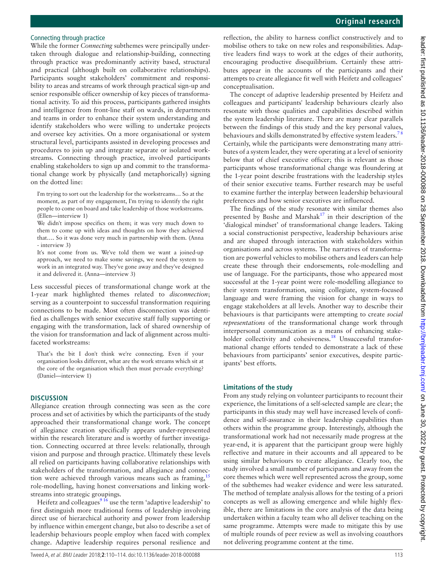## Connecting through practice

While the former *Connecting* subthemes were principally undertaken through dialogue and relationship-building, connecting through practice was predominantly activity based, structural and practical (although built on collaborative relationships). Participants sought stakeholders' commitment and responsibility to areas and streams of work through practical sign-up and senior responsible officer ownership of key pieces of transformational activity. To aid this process, participants gathered insights and intelligence from front-line staff on wards, in departments and teams in order to enhance their system understanding and identify stakeholders who were willing to undertake projects and oversee key activities. On a more organisational or system structural level, participants assisted in developing processes and procedures to join up and integrate separate or isolated workstreams. Connecting through practice, involved participants enabling stakeholders to sign up and commit to the transformational change work by physically (and metaphorically) signing on the dotted line:

I'm trying to sort out the leadership for the workstreams… So at the moment, as part of my engagement, I'm trying to identify the right people to come on board and take leadership of those workstreams. (Ellen—interview 1)

We didn't impose specifics on them; it was very much down to them to come up with ideas and thoughts on how they achieved that…. So it was done very much in partnership with them. (Anna - interview 3)

It's not come from us. We've told them we want a joined-up approach, we need to make some savings, we need the system to work in an integrated way. They've gone away and they've designed it and delivered it. (Anna—interview 3)

Less successful pieces of transformational change work at the 1-year mark highlighted themes related to *disconnection*; serving as a counterpoint to successful transformation requiring connections to be made. Most often disconnection was identified as challenges with senior executive staff fully supporting or engaging with the transformation, lack of shared ownership of the vision for transformation and lack of alignment across multifaceted workstreams:

That's the bit I don't think we're connecting. Even if your organisation looks different, what are the work streams which sit at the core of the organisation which then must pervade everything? (Daniel—interview 1)

## **Discussion**

Allegiance creation through connecting was seen as the core process and set of activities by which the participants of the study approached their transformational change work. The concept of allegiance creation specifically appears under-represented within the research literature and is worthy of further investigation. Connecting occurred at three levels: relationally, through vision and purpose and through practice. Ultimately these levels all relied on participants having collaborative relationships with stakeholders of the transformation, and allegiance and connection were achieved through various means such as framing,  $15$ role-modelling, having honest conversations and linking workstreams into strategic groupings.

Heifetz and colleagues<sup>916</sup> use the term 'adaptive leadership' to first distinguish more traditional forms of leadership involving direct use of hierarchical authority and power from leadership by influence within emergent change, but also to describe a set of leadership behaviours people employ when faced with complex change. Adaptive leadership requires personal resilience and

reflection, the ability to harness conflict constructively and to mobilise others to take on new roles and responsibilities. Adaptive leaders find ways to work at the edges of their authority, encouraging productive disequilibrium. Certainly these attributes appear in the accounts of the participants and their attempts to create allegiance fit well with Heifetz and colleagues' conceptualisation.

The concept of adaptive leadership presented by Heifetz and colleagues and participants' leadership behaviours clearly also resonate with those qualities and capabilities described within the system leadership literature. There are many clear parallels between the findings of this study and the key personal values, behaviours and skills demonstrated by effective system leaders.<sup>78</sup> Certainly, while the participants were demonstrating many attributes of a system leader, they were operating at a level of seniority below that of chief executive officer; this is relevant as those participants whose transformational change was floundering at the 1-year point describe frustrations with the leadership styles of their senior executive teams. Further research may be useful to examine further the interplay between leadership behavioural preferences and how senior executives are influenced.

The findings of the study resonate with similar themes also presented by Bushe and Marshak $17$  in their description of the 'dialogical mindset' of transformational change leaders. Taking a social constructionist perspective, leadership behaviours arise and are shaped through interaction with stakeholders within organisations and across systems. The narratives of transformation are powerful vehicles to mobilise others and leaders can help create these through their endorsements, role-modelling and use of language. For the participants, those who appeared most successful at the 1-year point were role-modelling allegiance to their system transformation, using collegiate, system-focused language and were framing the vision for change in ways to engage stakeholders at all levels. Another way to describe their behaviours is that participants were attempting to create *social representations* of the transformational change work through interpersonal communication as a means of enhancing stakeholder collectivity and cohesiveness.<sup>18</sup> Unsuccessful transformational change efforts tended to demonstrate a lack of these behaviours from participants' senior executives, despite participants' best efforts.

# **Limitations of the study**

From any study relying on volunteer participants to recount their experience, the limitations of a self-selected sample are clear; the participants in this study may well have increased levels of confidence and self-assurance in their leadership capabilities than others within the programme group. Interestingly, although the transformational work had not necessarily made progress at the year-end, it is apparent that the participant group were highly reflective and mature in their accounts and all appeared to be using similar behaviours to create allegiance. Clearly too, the study involved a small number of participants and away from the core themes which were well represented across the group, some of the subthemes had weaker evidence and were less saturated. The method of template analysis allows for the testing of a priori concepts as well as allowing emergence and while highly flexible, there are limitations in the core analysis of the data being undertaken within a faculty team who all deliver teaching on the same programme. Attempts were made to mitigate this by use of multiple rounds of peer review as well as involving coauthors not delivering programme content at the time.